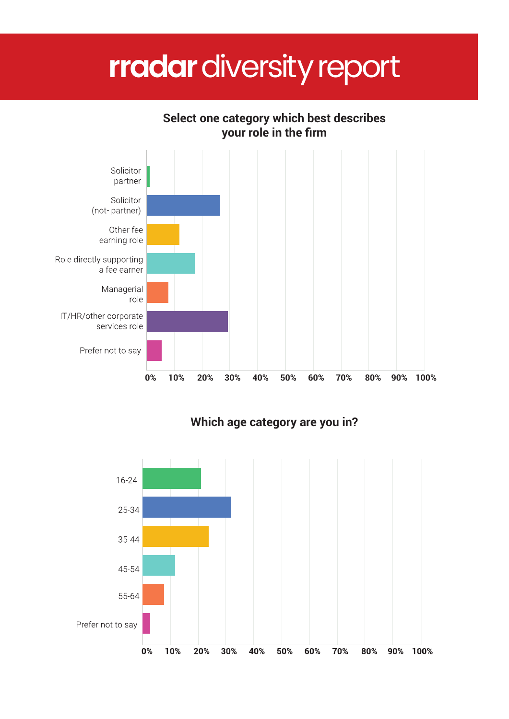

#### **Which age category are you in?**

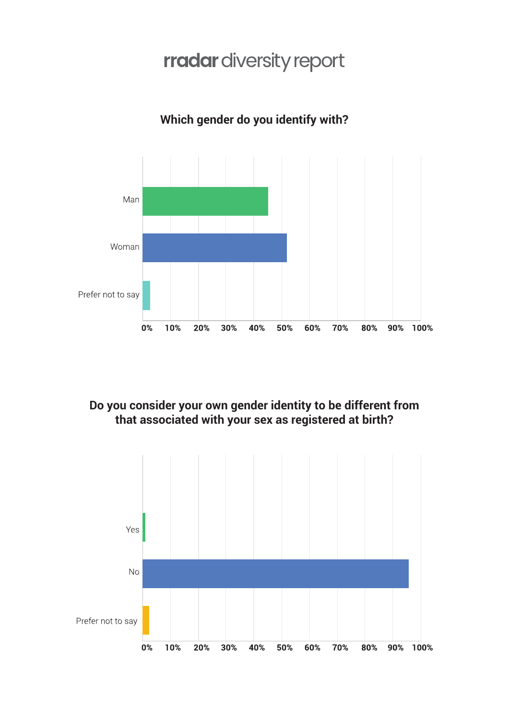#### **Which gender do you identify with?**



#### **Do you consider your own gender identity to be different from that associated with your sex as registered at birth?**

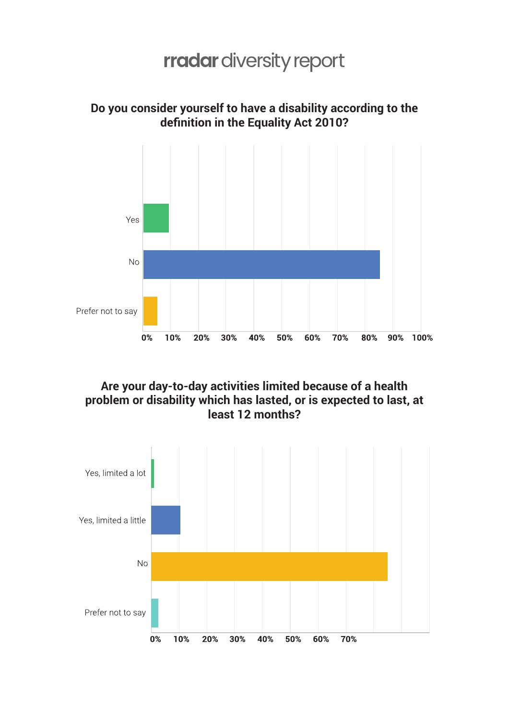# Yes **No**

**Do you consider yourself to have a disability according to the definition in the Equality Act 2010?**



40%

50%

60%

70%

80% 90% 100%

Prefer not to say

 $0\%$ 

10%

20%

30%

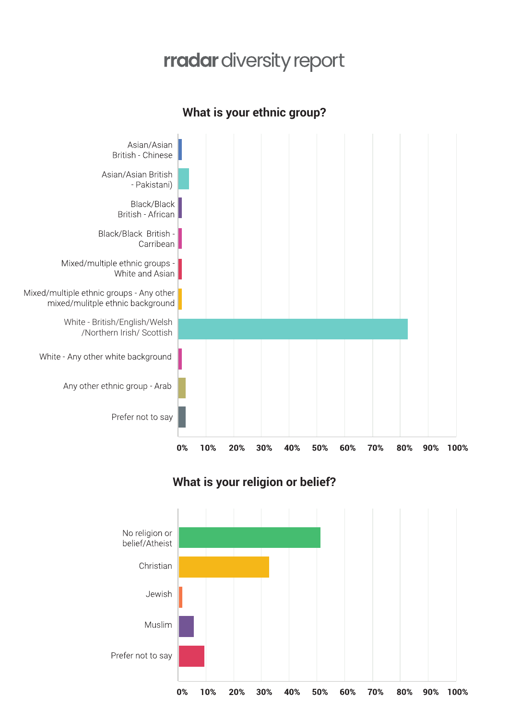

#### **What is your ethnic group?**

#### **What is your religion or belief?**

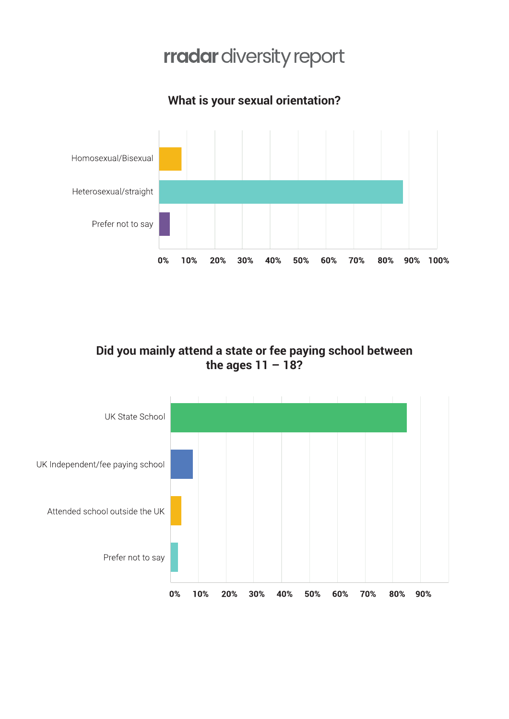#### **What is your sexual orientation?**



**Did you mainly attend a state or fee paying school between the ages 11 – 18?**

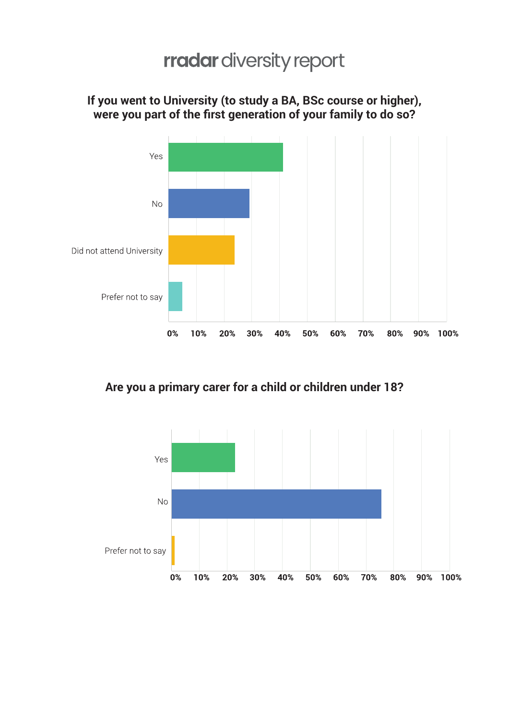#### **If you went to University (to study a BA, BSc course or higher), were you part of the first generation of your family to do so?**



#### **Are you a primary carer for a child or children under 18?**